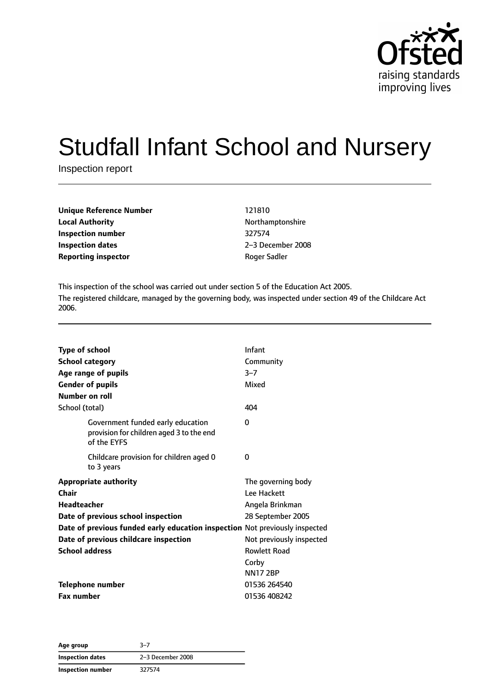

# Studfall Infant School and Nursery

Inspection report

| Unique Reference Number    | 121810    |
|----------------------------|-----------|
| <b>Local Authority</b>     | Northan   |
| Inspection number          | 327574    |
| <b>Inspection dates</b>    | $2-3$ Dec |
| <b>Reporting inspector</b> | Roger S   |

**Local Authority** Northamptonshire **Inspection dates** 2–3 December 2008 **Roger Sadler** 

This inspection of the school was carried out under section 5 of the Education Act 2005. The registered childcare, managed by the governing body, was inspected under section 49 of the Childcare Act 2006.

| <b>Type of school</b><br><b>School category</b><br>Age range of pupils |                                                                                              | Infant<br>Community<br>$3 - 7$<br>Mixed              |
|------------------------------------------------------------------------|----------------------------------------------------------------------------------------------|------------------------------------------------------|
| <b>Gender of pupils</b><br>Number on roll                              |                                                                                              |                                                      |
| School (total)                                                         |                                                                                              | 404                                                  |
|                                                                        | Government funded early education<br>provision for children aged 3 to the end<br>of the EYFS | 0                                                    |
|                                                                        | Childcare provision for children aged 0<br>to 3 years                                        | 0                                                    |
| Chair<br><b>Headteacher</b>                                            | <b>Appropriate authority</b>                                                                 | The governing body<br>Lee Hackett<br>Angela Brinkman |
|                                                                        | Date of previous school inspection                                                           | 28 September 2005                                    |
|                                                                        | Date of previous funded early education inspection Not previously inspected                  |                                                      |
|                                                                        | Date of previous childcare inspection                                                        | Not previously inspected                             |
| <b>School address</b>                                                  |                                                                                              | <b>Rowlett Road</b>                                  |
|                                                                        |                                                                                              | Corby<br><b>NN17 2BP</b>                             |
| <b>Telephone number</b>                                                |                                                                                              | 01536 264540                                         |
| <b>Fax number</b>                                                      |                                                                                              | 01536 408242                                         |

**Age group** 3–7 **Inspection dates** 2–3 December 2008 **Inspection number** 327574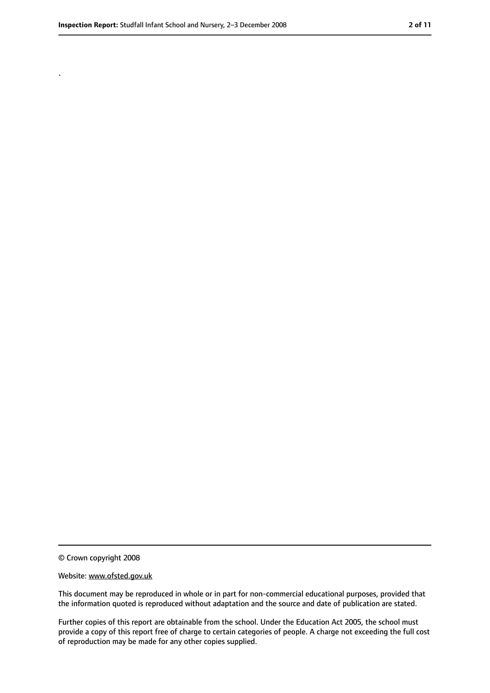.

<sup>©</sup> Crown copyright 2008

Website: www.ofsted.gov.uk

This document may be reproduced in whole or in part for non-commercial educational purposes, provided that the information quoted is reproduced without adaptation and the source and date of publication are stated.

Further copies of this report are obtainable from the school. Under the Education Act 2005, the school must provide a copy of this report free of charge to certain categories of people. A charge not exceeding the full cost of reproduction may be made for any other copies supplied.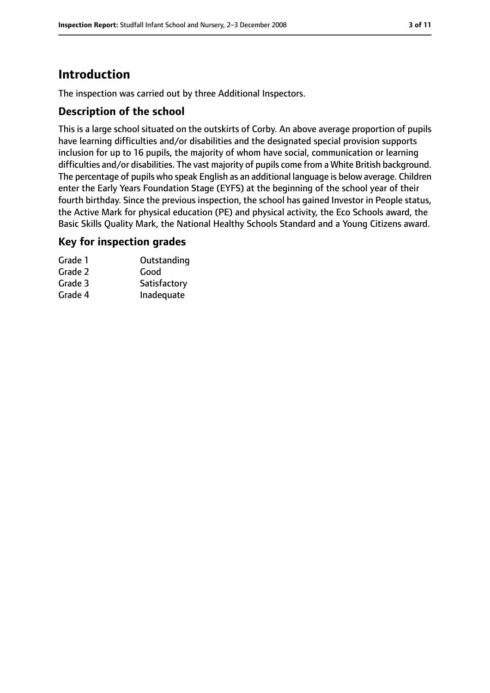# **Introduction**

The inspection was carried out by three Additional Inspectors.

#### **Description of the school**

This is a large school situated on the outskirts of Corby. An above average proportion of pupils have learning difficulties and/or disabilities and the designated special provision supports inclusion for up to 16 pupils, the majority of whom have social, communication or learning difficulties and/or disabilities. The vast majority of pupils come from a White British background. The percentage of pupils who speak English as an additional language is below average. Children enter the Early Years Foundation Stage (EYFS) at the beginning of the school year of their fourth birthday. Since the previous inspection, the school has gained Investor in People status, the Active Mark for physical education (PE) and physical activity, the Eco Schools award, the Basic Skills Quality Mark, the National Healthy Schools Standard and a Young Citizens award.

#### **Key for inspection grades**

| Grade 1 | Outstanding  |
|---------|--------------|
| Grade 2 | Good         |
| Grade 3 | Satisfactory |
| Grade 4 | Inadequate   |
|         |              |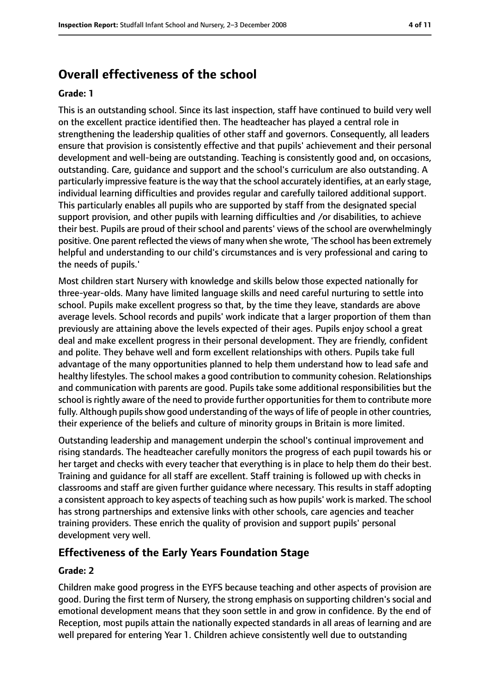# **Overall effectiveness of the school**

#### **Grade: 1**

This is an outstanding school. Since its last inspection, staff have continued to build very well on the excellent practice identified then. The headteacher has played a central role in strengthening the leadership qualities of other staff and governors. Consequently, all leaders ensure that provision is consistently effective and that pupils' achievement and their personal development and well-being are outstanding. Teaching is consistently good and, on occasions, outstanding. Care, guidance and support and the school's curriculum are also outstanding. A particularly impressive feature isthe way that the school accurately identifies, at an early stage, individual learning difficulties and provides regular and carefully tailored additional support. This particularly enables all pupils who are supported by staff from the designated special support provision, and other pupils with learning difficulties and /or disabilities, to achieve their best. Pupils are proud of their school and parents' views of the school are overwhelmingly positive. One parent reflected the views of many when she wrote, 'The school has been extremely helpful and understanding to our child's circumstances and is very professional and caring to the needs of pupils.'

Most children start Nursery with knowledge and skills below those expected nationally for three-year-olds. Many have limited language skills and need careful nurturing to settle into school. Pupils make excellent progress so that, by the time they leave, standards are above average levels. School records and pupils' work indicate that a larger proportion of them than previously are attaining above the levels expected of their ages. Pupils enjoy school a great deal and make excellent progress in their personal development. They are friendly, confident and polite. They behave well and form excellent relationships with others. Pupils take full advantage of the many opportunities planned to help them understand how to lead safe and healthy lifestyles. The school makes a good contribution to community cohesion. Relationships and communication with parents are good. Pupils take some additional responsibilities but the school is rightly aware of the need to provide further opportunities for them to contribute more fully. Although pupils show good understanding of the ways of life of people in other countries, their experience of the beliefs and culture of minority groups in Britain is more limited.

Outstanding leadership and management underpin the school's continual improvement and rising standards. The headteacher carefully monitors the progress of each pupil towards his or her target and checks with every teacher that everything is in place to help them do their best. Training and guidance for all staff are excellent. Staff training is followed up with checks in classrooms and staff are given further guidance where necessary. This results in staff adopting a consistent approach to key aspects of teaching such as how pupils' work is marked. The school has strong partnerships and extensive links with other schools, care agencies and teacher training providers. These enrich the quality of provision and support pupils' personal development very well.

## **Effectiveness of the Early Years Foundation Stage**

#### **Grade: 2**

Children make good progress in the EYFS because teaching and other aspects of provision are good. During the first term of Nursery, the strong emphasis on supporting children's social and emotional development means that they soon settle in and grow in confidence. By the end of Reception, most pupils attain the nationally expected standards in all areas of learning and are well prepared for entering Year 1. Children achieve consistently well due to outstanding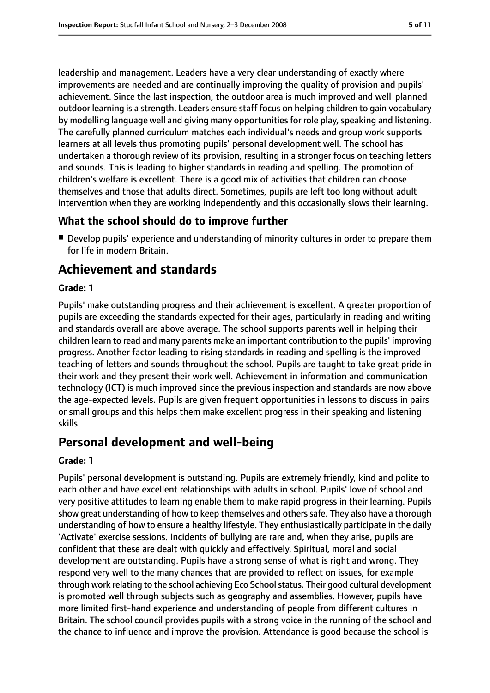leadership and management. Leaders have a very clear understanding of exactly where improvements are needed and are continually improving the quality of provision and pupils' achievement. Since the last inspection, the outdoor area is much improved and well-planned outdoor learning is a strength. Leaders ensure staff focus on helping children to gain vocabulary by modelling language well and giving many opportunities for role play, speaking and listening. The carefully planned curriculum matches each individual's needs and group work supports learners at all levels thus promoting pupils' personal development well. The school has undertaken a thorough review of its provision, resulting in a stronger focus on teaching letters and sounds. This is leading to higher standards in reading and spelling. The promotion of children's welfare is excellent. There is a good mix of activities that children can choose themselves and those that adults direct. Sometimes, pupils are left too long without adult intervention when they are working independently and this occasionally slows their learning.

## **What the school should do to improve further**

■ Develop pupils' experience and understanding of minority cultures in order to prepare them for life in modern Britain.

# **Achievement and standards**

#### **Grade: 1**

Pupils' make outstanding progress and their achievement is excellent. A greater proportion of pupils are exceeding the standards expected for their ages, particularly in reading and writing and standards overall are above average. The school supports parents well in helping their children learn to read and many parents make an important contribution to the pupils' improving progress. Another factor leading to rising standards in reading and spelling is the improved teaching of letters and sounds throughout the school. Pupils are taught to take great pride in their work and they present their work well. Achievement in information and communication technology (ICT) is much improved since the previous inspection and standards are now above the age-expected levels. Pupils are given frequent opportunities in lessons to discuss in pairs or small groups and this helps them make excellent progress in their speaking and listening skills.

# **Personal development and well-being**

#### **Grade: 1**

Pupils' personal development is outstanding. Pupils are extremely friendly, kind and polite to each other and have excellent relationships with adults in school. Pupils' love of school and very positive attitudes to learning enable them to make rapid progress in their learning. Pupils show great understanding of how to keep themselves and others safe. They also have a thorough understanding of how to ensure a healthy lifestyle. They enthusiastically participate in the daily 'Activate' exercise sessions. Incidents of bullying are rare and, when they arise, pupils are confident that these are dealt with quickly and effectively. Spiritual, moral and social development are outstanding. Pupils have a strong sense of what is right and wrong. They respond very well to the many chances that are provided to reflect on issues, for example through work relating to the school achieving Eco School status. Their good cultural development is promoted well through subjects such as geography and assemblies. However, pupils have more limited first-hand experience and understanding of people from different cultures in Britain. The school council provides pupils with a strong voice in the running of the school and the chance to influence and improve the provision. Attendance is good because the school is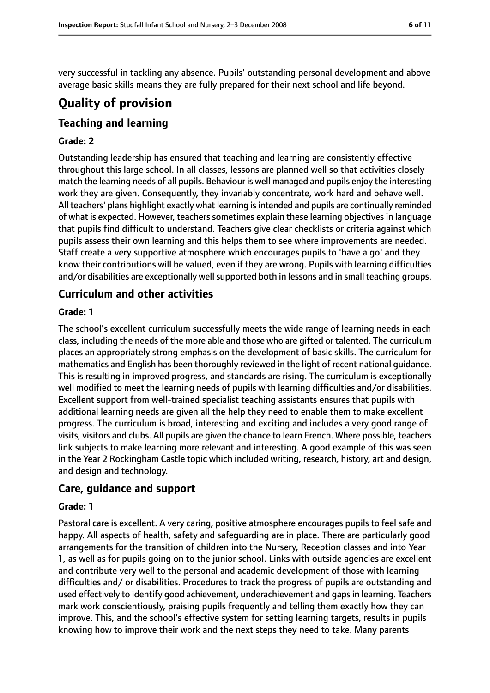very successful in tackling any absence. Pupils' outstanding personal development and above average basic skills means they are fully prepared for their next school and life beyond.

# **Quality of provision**

## **Teaching and learning**

#### **Grade: 2**

Outstanding leadership has ensured that teaching and learning are consistently effective throughout this large school. In all classes, lessons are planned well so that activities closely match the learning needs of all pupils. Behaviour is well managed and pupils enjoy the interesting work they are given. Consequently, they invariably concentrate, work hard and behave well. All teachers' plans highlight exactly what learning is intended and pupils are continually reminded of what is expected. However, teachers sometimes explain these learning objectives in language that pupils find difficult to understand. Teachers give clear checklists or criteria against which pupils assess their own learning and this helps them to see where improvements are needed. Staff create a very supportive atmosphere which encourages pupils to 'have a go' and they know their contributions will be valued, even if they are wrong. Pupils with learning difficulties and/or disabilities are exceptionally well supported both in lessons and in small teaching groups.

#### **Curriculum and other activities**

#### **Grade: 1**

The school's excellent curriculum successfully meets the wide range of learning needs in each class, including the needs of the more able and those who are gifted or talented. The curriculum places an appropriately strong emphasis on the development of basic skills. The curriculum for mathematics and English has been thoroughly reviewed in the light of recent national guidance. This is resulting in improved progress, and standards are rising. The curriculum is exceptionally well modified to meet the learning needs of pupils with learning difficulties and/or disabilities. Excellent support from well-trained specialist teaching assistants ensures that pupils with additional learning needs are given all the help they need to enable them to make excellent progress. The curriculum is broad, interesting and exciting and includes a very good range of visits, visitors and clubs. All pupils are given the chance to learn French. Where possible, teachers link subjects to make learning more relevant and interesting. A good example of this was seen in the Year 2 Rockingham Castle topic which included writing, research, history, art and design, and design and technology.

#### **Care, guidance and support**

#### **Grade: 1**

Pastoral care is excellent. A very caring, positive atmosphere encourages pupils to feel safe and happy. All aspects of health, safety and safeguarding are in place. There are particularly good arrangements for the transition of children into the Nursery, Reception classes and into Year 1, as well as for pupils going on to the junior school. Links with outside agencies are excellent and contribute very well to the personal and academic development of those with learning difficulties and/ or disabilities. Procedures to track the progress of pupils are outstanding and used effectively to identify good achievement, underachievement and gapsin learning. Teachers mark work conscientiously, praising pupils frequently and telling them exactly how they can improve. This, and the school's effective system for setting learning targets, results in pupils knowing how to improve their work and the next steps they need to take. Many parents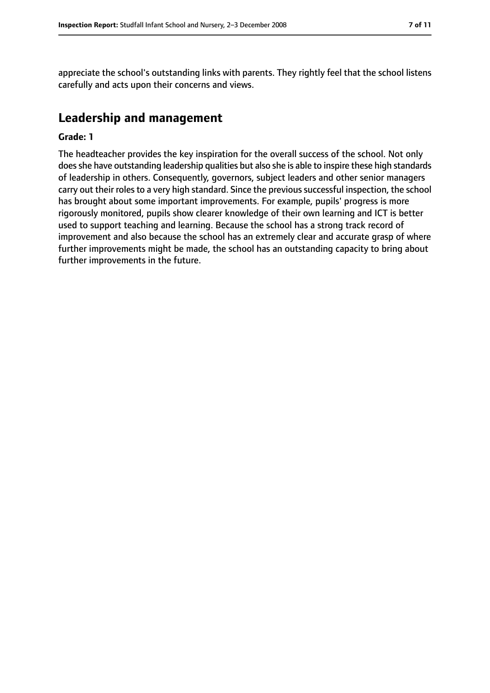appreciate the school's outstanding links with parents. They rightly feel that the school listens carefully and acts upon their concerns and views.

## **Leadership and management**

#### **Grade: 1**

The headteacher provides the key inspiration for the overall success of the school. Not only does she have outstanding leadership qualities but also she is able to inspire these high standards of leadership in others. Consequently, governors, subject leaders and other senior managers carry out their roles to a very high standard. Since the previous successful inspection, the school has brought about some important improvements. For example, pupils' progress is more rigorously monitored, pupils show clearer knowledge of their own learning and ICT is better used to support teaching and learning. Because the school has a strong track record of improvement and also because the school has an extremely clear and accurate grasp of where further improvements might be made, the school has an outstanding capacity to bring about further improvements in the future.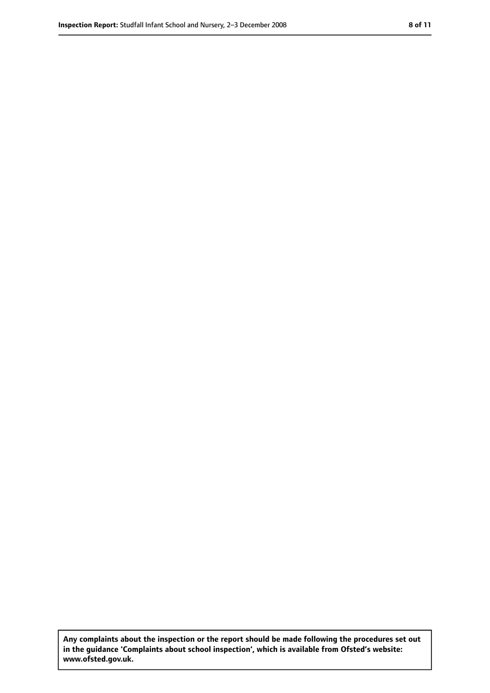**Any complaints about the inspection or the report should be made following the procedures set out in the guidance 'Complaints about school inspection', which is available from Ofsted's website: www.ofsted.gov.uk.**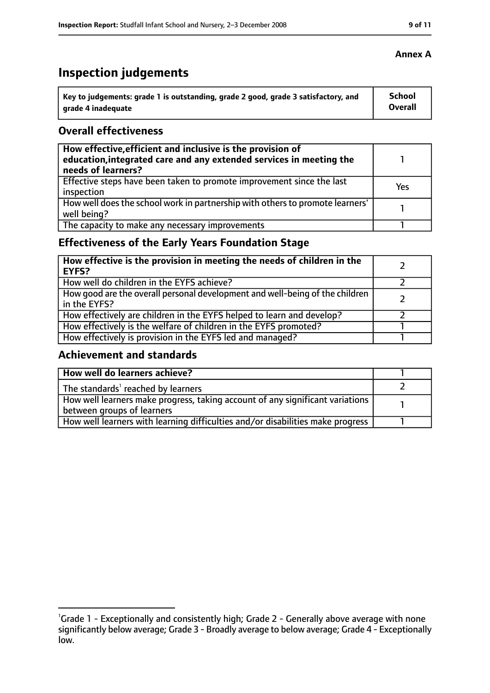# **Inspection judgements**

| Key to judgements: grade 1 is outstanding, grade 2 good, grade 3 satisfactory, and | School  |
|------------------------------------------------------------------------------------|---------|
| arade 4 inadequate                                                                 | Overall |

#### **Overall effectiveness**

| How effective, efficient and inclusive is the provision of<br>education, integrated care and any extended services in meeting the<br>needs of learners? |     |
|---------------------------------------------------------------------------------------------------------------------------------------------------------|-----|
| Effective steps have been taken to promote improvement since the last<br>inspection                                                                     | Yes |
| How well does the school work in partnership with others to promote learners'<br>well being?                                                            |     |
| The capacity to make any necessary improvements                                                                                                         |     |

## **Effectiveness of the Early Years Foundation Stage**

| How effective is the provision in meeting the needs of children in the<br><b>EYFS?</b>       |  |
|----------------------------------------------------------------------------------------------|--|
| How well do children in the EYFS achieve?                                                    |  |
| How good are the overall personal development and well-being of the children<br>in the EYFS? |  |
| How effectively are children in the EYFS helped to learn and develop?                        |  |
| How effectively is the welfare of children in the EYFS promoted?                             |  |
| How effectively is provision in the EYFS led and managed?                                    |  |

## **Achievement and standards**

| How well do learners achieve?                                                               |  |
|---------------------------------------------------------------------------------------------|--|
| The standards <sup>1</sup> reached by learners                                              |  |
| $\mid$ How well learners make progress, taking account of any significant variations $\mid$ |  |
| between groups of learners                                                                  |  |
| How well learners with learning difficulties and/or disabilities make progress              |  |

<sup>&</sup>lt;sup>1</sup>Grade 1 - Exceptionally and consistently high; Grade 2 - Generally above average with none significantly below average; Grade 3 - Broadly average to below average; Grade 4 - Exceptionally low.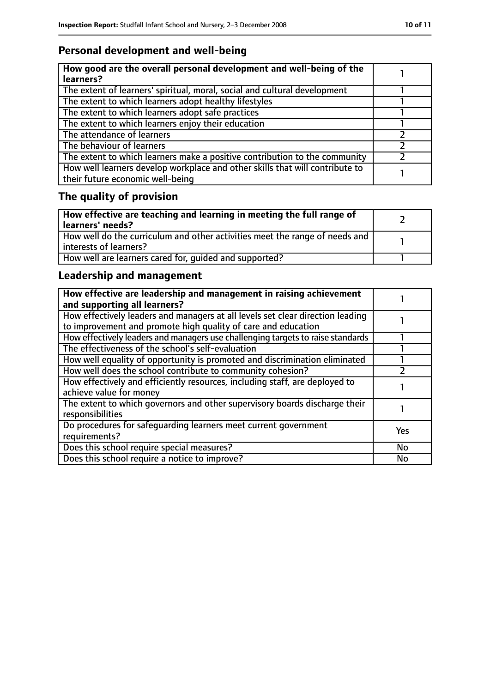# **Personal development and well-being**

| How good are the overall personal development and well-being of the<br>learners?                                 |  |
|------------------------------------------------------------------------------------------------------------------|--|
| The extent of learners' spiritual, moral, social and cultural development                                        |  |
| The extent to which learners adopt healthy lifestyles                                                            |  |
| The extent to which learners adopt safe practices                                                                |  |
| The extent to which learners enjoy their education                                                               |  |
| The attendance of learners                                                                                       |  |
| The behaviour of learners                                                                                        |  |
| The extent to which learners make a positive contribution to the community                                       |  |
| How well learners develop workplace and other skills that will contribute to<br>their future economic well-being |  |

# **The quality of provision**

| How effective are teaching and learning in meeting the full range of<br>learners' needs?              |  |
|-------------------------------------------------------------------------------------------------------|--|
| How well do the curriculum and other activities meet the range of needs and<br>interests of learners? |  |
| How well are learners cared for, quided and supported?                                                |  |

## **Leadership and management**

| How effective are leadership and management in raising achievement<br>and supporting all learners?                                              |           |
|-------------------------------------------------------------------------------------------------------------------------------------------------|-----------|
| How effectively leaders and managers at all levels set clear direction leading<br>to improvement and promote high quality of care and education |           |
| How effectively leaders and managers use challenging targets to raise standards                                                                 |           |
| The effectiveness of the school's self-evaluation                                                                                               |           |
| How well equality of opportunity is promoted and discrimination eliminated                                                                      |           |
| How well does the school contribute to community cohesion?                                                                                      |           |
| How effectively and efficiently resources, including staff, are deployed to<br>achieve value for money                                          |           |
| The extent to which governors and other supervisory boards discharge their<br>responsibilities                                                  |           |
| Do procedures for safequarding learners meet current government<br>requirements?                                                                | Yes       |
| Does this school require special measures?                                                                                                      | <b>No</b> |
| Does this school require a notice to improve?                                                                                                   | <b>No</b> |